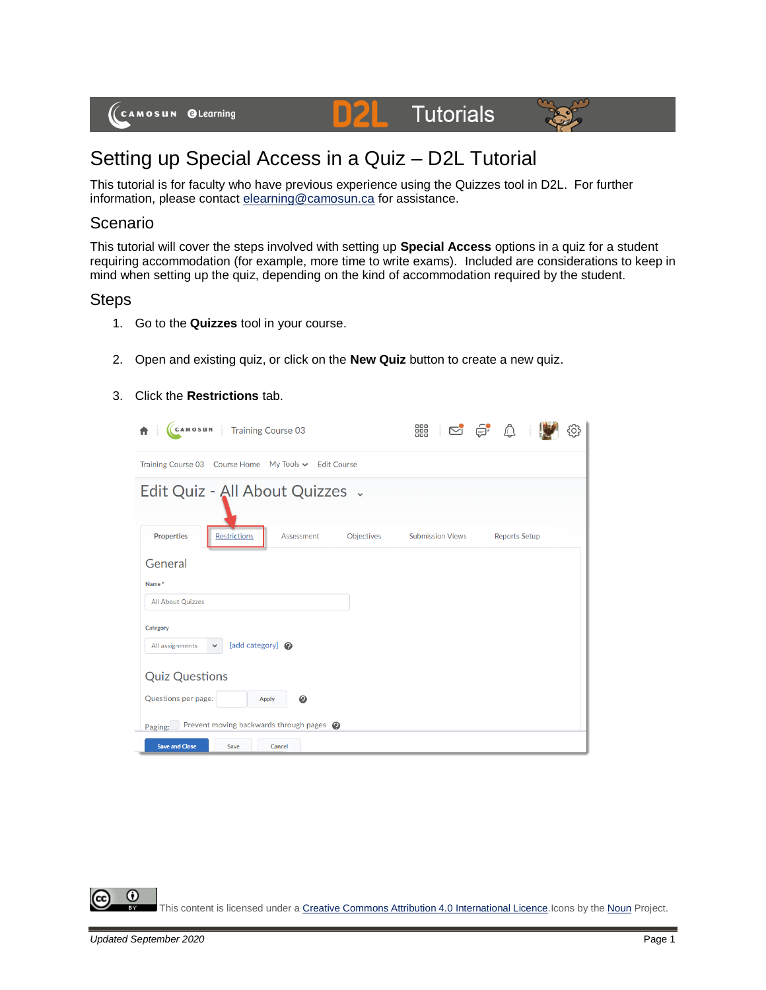

# Setting up Special Access in a Quiz – D2L Tutorial

D

This tutorial is for faculty who have previous experience using the Quizzes tool in D2L. For further information, please contact [elearning@camosun.ca](mailto:elearning@camosun.ca) for assistance.

## Scenario

This tutorial will cover the steps involved with setting up **Special Access** options in a quiz for a student requiring accommodation (for example, more time to write exams). Included are considerations to keep in mind when setting up the quiz, depending on the kind of accommodation required by the student.

### Steps

- 1. Go to the **Quizzes** tool in your course.
- 2. Open and existing quiz, or click on the **New Quiz** button to create a new quiz.
- 3. Click the **Restrictions** tab.

| CAMOSUN Training Course 03                                           | 器 : 2 € Ô               |                      |  |  |  |
|----------------------------------------------------------------------|-------------------------|----------------------|--|--|--|
| Training Course 03    Course Home    My Tools v    Edit Course       |                         |                      |  |  |  |
| Edit Quiz - All About Quizzes .                                      |                         |                      |  |  |  |
| <b>Properties</b><br><b>Restrictions</b><br>Objectives<br>Assessment | <b>Submission Views</b> | <b>Reports Setup</b> |  |  |  |
| General                                                              |                         |                      |  |  |  |
| Name*                                                                |                         |                      |  |  |  |
| <b>All About Quizzes</b>                                             |                         |                      |  |  |  |
| Category<br>[add category] @<br>All assignments<br>$\checkmark$      |                         |                      |  |  |  |
| <b>Quiz Questions</b>                                                |                         |                      |  |  |  |
| Questions per page:<br>ℯ<br>Apply                                    |                         |                      |  |  |  |
| Prevent moving backwards through pages @<br>Paging:                  |                         |                      |  |  |  |
| <b>Save and Close</b><br>Save<br>Cancel                              |                         |                      |  |  |  |

0 This content is licensed under a [Creative Commons Attribution 4.0 International Licence.I](https://creativecommons.org/licenses/by/4.0/)cons by the [Noun](https://creativecommons.org/website-icons/) Project.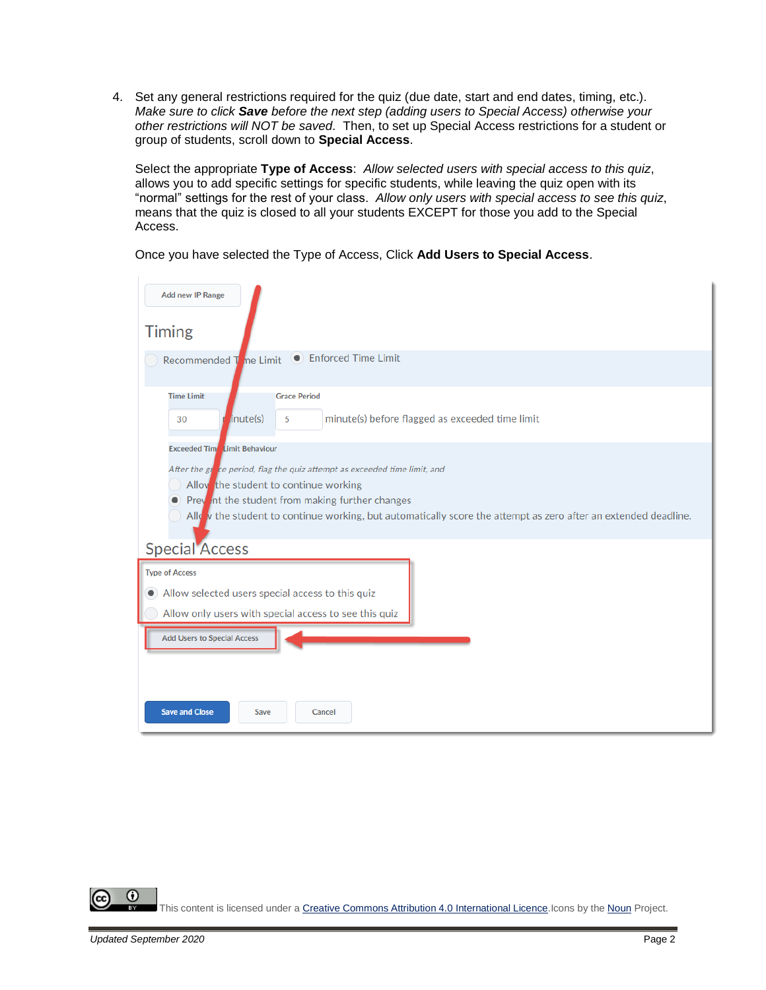4. Set any general restrictions required for the quiz (due date, start and end dates, timing, etc.). *Make sure to click Save before the next step (adding users to Special Access) otherwise your other restrictions will NOT be saved.* Then, to set up Special Access restrictions for a student or group of students, scroll down to **Special Access**.

Select the appropriate **Type of Access**: *Allow selected users with special access to this quiz*, allows you to add specific settings for specific students, while leaving the quiz open with its "normal" settings for the rest of your class. *Allow only users with special access to see this quiz*, means that the quiz is closed to all your students EXCEPT for those you add to the Special Access.

#### Once you have selected the Type of Access, Click **Add Users to Special Access**.

| Add new IP Range<br><b>Timing</b>                                                                                                                                                                                                                                                                                               |
|---------------------------------------------------------------------------------------------------------------------------------------------------------------------------------------------------------------------------------------------------------------------------------------------------------------------------------|
| • Enforced Time Limit<br>Recommended T me Limit                                                                                                                                                                                                                                                                                 |
| <b>Time Limit</b><br><b>Grace Period</b><br>minute(s) before flagged as exceeded time limit<br>inute(s)<br>5<br>30                                                                                                                                                                                                              |
| <b>Exceeded Tim</b> Limit Behaviour<br>After the glace period, flag the quiz attempt as exceeded time limit, and<br>Allow the student to continue working<br>Prev int the student from making further changes<br>Allow the student to continue working, but automatically score the attempt as zero after an extended deadline. |
| <b>Special Access</b><br><b>Type of Access</b><br>Allow selected users special access to this quiz<br>$\bullet$<br>Allow only users with special access to see this quiz                                                                                                                                                        |
| <b>Add Users to Special Access</b><br><b>Save and Close</b><br>Save<br>Cancel                                                                                                                                                                                                                                                   |

0 This content is licensed under a [Creative Commons Attribution 4.0 International Licence.I](https://creativecommons.org/licenses/by/4.0/)cons by the [Noun](https://creativecommons.org/website-icons/) Project.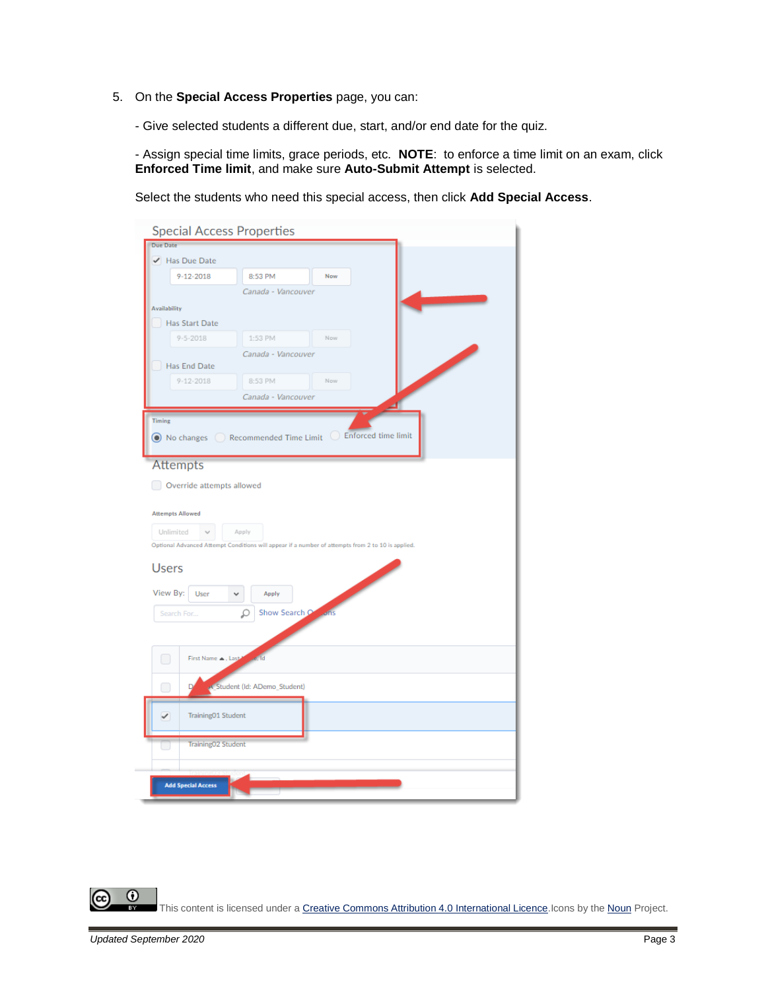- 5. On the **Special Access Properties** page, you can:
	- Give selected students a different due, start, and/or end date for the quiz.

- Assign special time limits, grace periods, etc. **NOTE**: to enforce a time limit on an exam, click **Enforced Time limit**, and make sure **Auto-Submit Attempt** is selected.

Select the students who need this special access, then click **Add Special Access**.

| <b>Special Access Properties</b>                                                                  |                             |     |  |  |
|---------------------------------------------------------------------------------------------------|-----------------------------|-----|--|--|
| <b>Due Date</b>                                                                                   |                             |     |  |  |
| ✔ Has Due Date                                                                                    |                             |     |  |  |
| $9 - 12 - 2018$                                                                                   | 8:53 PM                     | Now |  |  |
|                                                                                                   | Canada - Vancouver          |     |  |  |
| <b>Availability</b>                                                                               |                             |     |  |  |
| Has Start Date                                                                                    |                             |     |  |  |
| $9 - 5 - 2018$                                                                                    | 1:53 PM                     | Now |  |  |
|                                                                                                   | Canada - Vancouver          |     |  |  |
| Has End Date                                                                                      |                             |     |  |  |
| $9 - 12 - 2018$                                                                                   | 8:53 PM                     | Now |  |  |
|                                                                                                   | Canada - Vancouver          |     |  |  |
|                                                                                                   |                             |     |  |  |
| Timing                                                                                            |                             |     |  |  |
| $\odot$ No changes $\odot$ Recommended Time Limit $\odot$ Enforced time limit                     |                             |     |  |  |
|                                                                                                   |                             |     |  |  |
| <b>Attempts</b>                                                                                   |                             |     |  |  |
|                                                                                                   |                             |     |  |  |
| Override attempts allowed                                                                         |                             |     |  |  |
|                                                                                                   |                             |     |  |  |
| <b>Attempts Allowed</b>                                                                           |                             |     |  |  |
| Unlimited                                                                                         | Apply                       |     |  |  |
| Optional Advanced Attempt Conditions will appear if a number of attempts from 2 to 10 is applied. |                             |     |  |  |
|                                                                                                   |                             |     |  |  |
| <b>Users</b>                                                                                      |                             |     |  |  |
|                                                                                                   |                             |     |  |  |
| View By:<br>User                                                                                  | Apply<br>$\checkmark$       |     |  |  |
| Search For                                                                                        | Show Search Of Lons<br>₽    |     |  |  |
|                                                                                                   |                             |     |  |  |
|                                                                                                   |                             |     |  |  |
| First Name  , Last-                                                                               | ĪΗ                          |     |  |  |
| $\Box$                                                                                            |                             |     |  |  |
|                                                                                                   |                             |     |  |  |
| $\Box$                                                                                            | Student (Id: ADemo_Student) |     |  |  |
|                                                                                                   |                             |     |  |  |
| Training01 Student<br>✓                                                                           |                             |     |  |  |
|                                                                                                   |                             |     |  |  |
| Training02 Student                                                                                |                             |     |  |  |
|                                                                                                   |                             |     |  |  |
|                                                                                                   |                             |     |  |  |
| <b>Add Special Access</b>                                                                         |                             |     |  |  |
|                                                                                                   |                             |     |  |  |

 $\odot$ This content is licensed under a [Creative Commons Attribution 4.0 International Licence.I](https://creativecommons.org/licenses/by/4.0/)cons by the [Noun](https://creativecommons.org/website-icons/) Project.